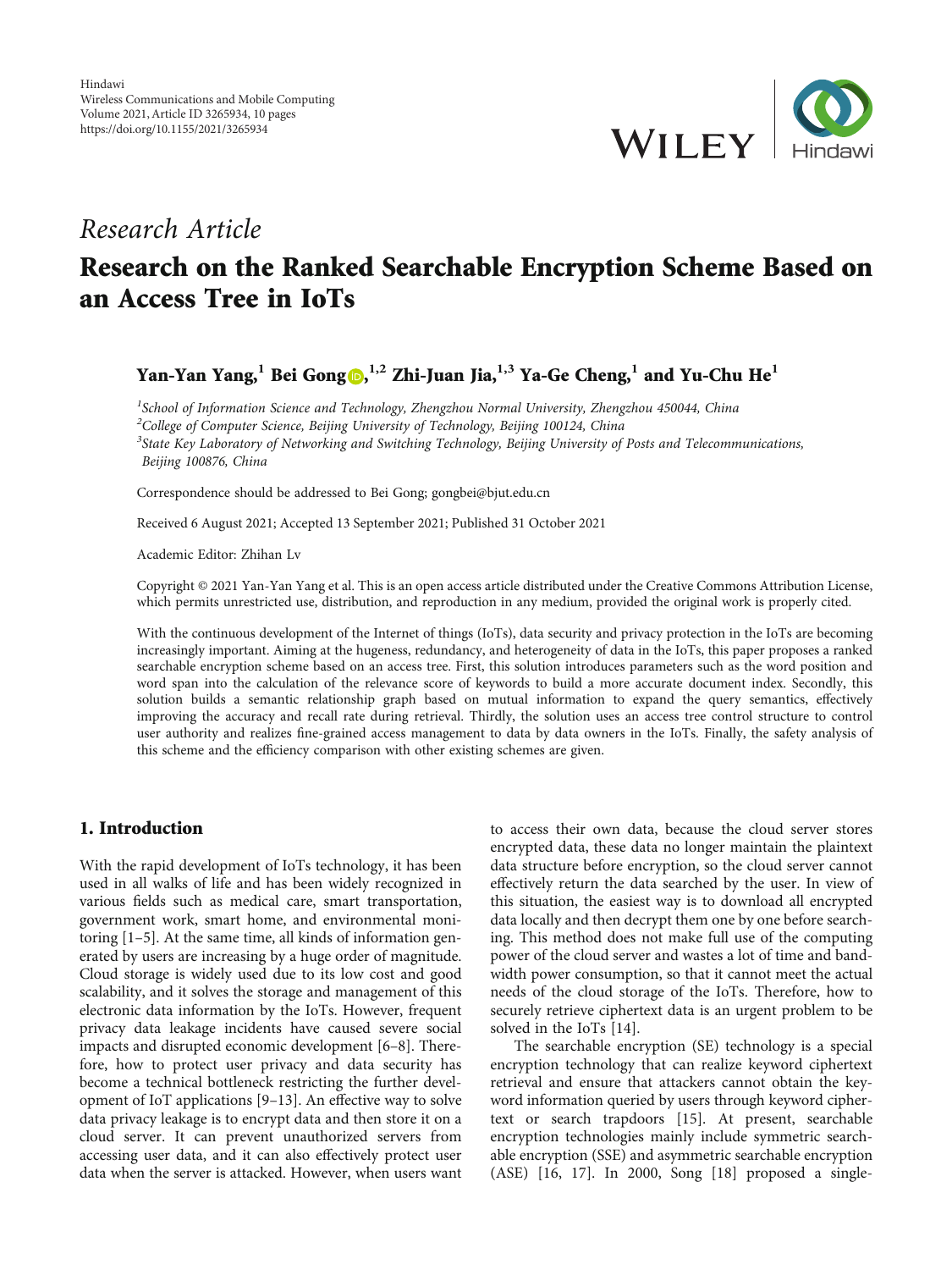

## Research Article

# Research on the Ranked Searchable Encryption Scheme Based on an Access Tree in IoTs

Yan-Yan Yang, $^1$  Bei Gong (0,  $^{1,2}$  Zhi-Juan Jia, $^{1,3}$  Ya-Ge Cheng, $^1$  and Yu-Chu He $^1$ 

<sup>1</sup>School of Information Science and Technology, Zhengzhou Normal University, Zhengzhou 450044, China <sup>2</sup>College of Computer Science, Beijing University of Technology, Beijing 100124, China <sup>3</sup>State Key Laboratory of Networking and Switching Technology, Beijing University of Posts and Telecommunications, Beijing 100876, China

Correspondence should be addressed to Bei Gong; gongbei@bjut.edu.cn

Received 6 August 2021; Accepted 13 September 2021; Published 31 October 2021

Academic Editor: Zhihan Lv

Copyright © 2021 Yan-Yan Yang et al. This is an open access article distributed under the [Creative Commons Attribution License](https://creativecommons.org/licenses/by/4.0/), which permits unrestricted use, distribution, and reproduction in any medium, provided the original work is properly cited.

With the continuous development of the Internet of things (IoTs), data security and privacy protection in the IoTs are becoming increasingly important. Aiming at the hugeness, redundancy, and heterogeneity of data in the IoTs, this paper proposes a ranked searchable encryption scheme based on an access tree. First, this solution introduces parameters such as the word position and word span into the calculation of the relevance score of keywords to build a more accurate document index. Secondly, this solution builds a semantic relationship graph based on mutual information to expand the query semantics, effectively improving the accuracy and recall rate during retrieval. Thirdly, the solution uses an access tree control structure to control user authority and realizes fine-grained access management to data by data owners in the IoTs. Finally, the safety analysis of this scheme and the efficiency comparison with other existing schemes are given.

## 1. Introduction

With the rapid development of IoTs technology, it has been used in all walks of life and has been widely recognized in various fields such as medical care, smart transportation, government work, smart home, and environmental monitoring [\[1](#page-8-0)–[5\]](#page-8-0). At the same time, all kinds of information generated by users are increasing by a huge order of magnitude. Cloud storage is widely used due to its low cost and good scalability, and it solves the storage and management of this electronic data information by the IoTs. However, frequent privacy data leakage incidents have caused severe social impacts and disrupted economic development [\[6](#page-8-0)–[8\]](#page-8-0). Therefore, how to protect user privacy and data security has become a technical bottleneck restricting the further development of IoT applications [[9](#page-8-0)–[13](#page-8-0)]. An effective way to solve data privacy leakage is to encrypt data and then store it on a cloud server. It can prevent unauthorized servers from accessing user data, and it can also effectively protect user data when the server is attacked. However, when users want

to access their own data, because the cloud server stores encrypted data, these data no longer maintain the plaintext data structure before encryption, so the cloud server cannot effectively return the data searched by the user. In view of this situation, the easiest way is to download all encrypted data locally and then decrypt them one by one before searching. This method does not make full use of the computing power of the cloud server and wastes a lot of time and bandwidth power consumption, so that it cannot meet the actual needs of the cloud storage of the IoTs. Therefore, how to securely retrieve ciphertext data is an urgent problem to be solved in the IoTs [\[14\]](#page-8-0).

The searchable encryption (SE) technology is a special encryption technology that can realize keyword ciphertext retrieval and ensure that attackers cannot obtain the keyword information queried by users through keyword ciphertext or search trapdoors [[15](#page-8-0)]. At present, searchable encryption technologies mainly include symmetric searchable encryption (SSE) and asymmetric searchable encryption (ASE) [\[16, 17](#page-8-0)]. In 2000, Song [[18](#page-8-0)] proposed a single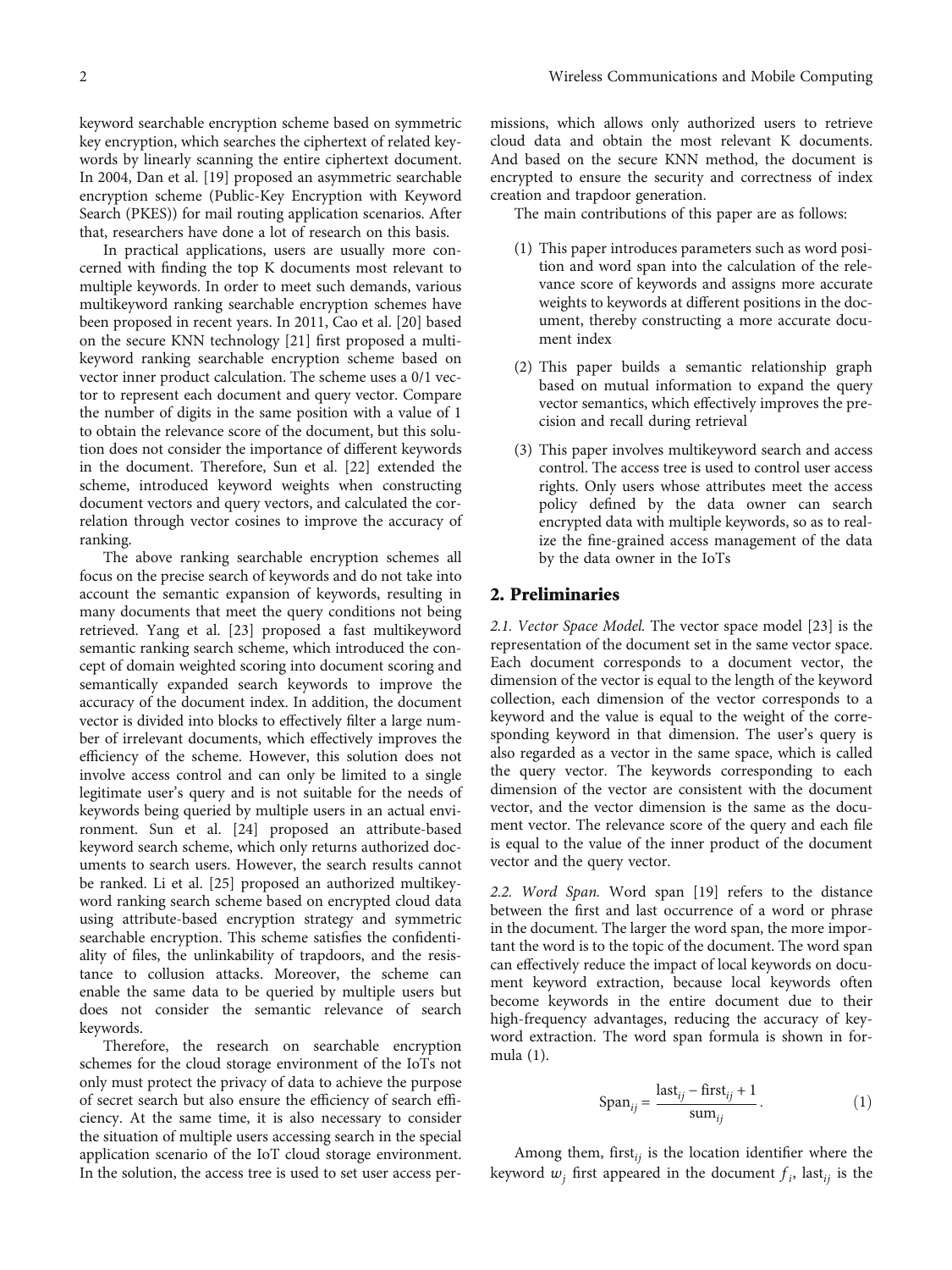that, researchers have done a lot of research on this basis. In practical applications, users are usually more concerned with finding the top K documents most relevant to multiple keywords. In order to meet such demands, various multikeyword ranking searchable encryption schemes have been proposed in recent years. In 2011, Cao et al. [[20\]](#page-8-0) based on the secure KNN technology [[21](#page-8-0)] first proposed a multikeyword ranking searchable encryption scheme based on vector inner product calculation. The scheme uses a 0/1 vector to represent each document and query vector. Compare the number of digits in the same position with a value of 1 to obtain the relevance score of the document, but this solution does not consider the importance of different keywords in the document. Therefore, Sun et al. [[22](#page-8-0)] extended the scheme, introduced keyword weights when constructing document vectors and query vectors, and calculated the correlation through vector cosines to improve the accuracy of ranking.

Search (PKES)) for mail routing application scenarios. After

The above ranking searchable encryption schemes all focus on the precise search of keywords and do not take into account the semantic expansion of keywords, resulting in many documents that meet the query conditions not being retrieved. Yang et al. [\[23\]](#page-8-0) proposed a fast multikeyword semantic ranking search scheme, which introduced the concept of domain weighted scoring into document scoring and semantically expanded search keywords to improve the accuracy of the document index. In addition, the document vector is divided into blocks to effectively filter a large number of irrelevant documents, which effectively improves the efficiency of the scheme. However, this solution does not involve access control and can only be limited to a single legitimate user's query and is not suitable for the needs of keywords being queried by multiple users in an actual environment. Sun et al. [\[24\]](#page-8-0) proposed an attribute-based keyword search scheme, which only returns authorized documents to search users. However, the search results cannot be ranked. Li et al. [\[25\]](#page-8-0) proposed an authorized multikeyword ranking search scheme based on encrypted cloud data using attribute-based encryption strategy and symmetric searchable encryption. This scheme satisfies the confidentiality of files, the unlinkability of trapdoors, and the resistance to collusion attacks. Moreover, the scheme can enable the same data to be queried by multiple users but does not consider the semantic relevance of search keywords.

Therefore, the research on searchable encryption schemes for the cloud storage environment of the IoTs not only must protect the privacy of data to achieve the purpose of secret search but also ensure the efficiency of search efficiency. At the same time, it is also necessary to consider the situation of multiple users accessing search in the special application scenario of the IoT cloud storage environment. In the solution, the access tree is used to set user access per-

missions, which allows only authorized users to retrieve cloud data and obtain the most relevant K documents. And based on the secure KNN method, the document is encrypted to ensure the security and correctness of index creation and trapdoor generation.

The main contributions of this paper are as follows:

- (1) This paper introduces parameters such as word position and word span into the calculation of the relevance score of keywords and assigns more accurate weights to keywords at different positions in the document, thereby constructing a more accurate document index
- (2) This paper builds a semantic relationship graph based on mutual information to expand the query vector semantics, which effectively improves the precision and recall during retrieval
- (3) This paper involves multikeyword search and access control. The access tree is used to control user access rights. Only users whose attributes meet the access policy defined by the data owner can search encrypted data with multiple keywords, so as to realize the fine-grained access management of the data by the data owner in the IoTs

## 2. Preliminaries

2.1. Vector Space Model. The vector space model [\[23\]](#page-8-0) is the representation of the document set in the same vector space. Each document corresponds to a document vector, the dimension of the vector is equal to the length of the keyword collection, each dimension of the vector corresponds to a keyword and the value is equal to the weight of the corresponding keyword in that dimension. The user's query is also regarded as a vector in the same space, which is called the query vector. The keywords corresponding to each dimension of the vector are consistent with the document vector, and the vector dimension is the same as the document vector. The relevance score of the query and each file is equal to the value of the inner product of the document vector and the query vector.

2.2. Word Span. Word span [\[19\]](#page-8-0) refers to the distance between the first and last occurrence of a word or phrase in the document. The larger the word span, the more important the word is to the topic of the document. The word span can effectively reduce the impact of local keywords on document keyword extraction, because local keywords often become keywords in the entire document due to their high-frequency advantages, reducing the accuracy of keyword extraction. The word span formula is shown in formula (1).

$$
\text{Span}_{ij} = \frac{\text{last}_{ij} - \text{first}_{ij} + 1}{\text{sum}_{ij}}.\tag{1}
$$

Among them, first*ij* is the location identifier where the keyword  $w_j$  first appeared in the document  $f_i$ , last<sub>ij</sub> is the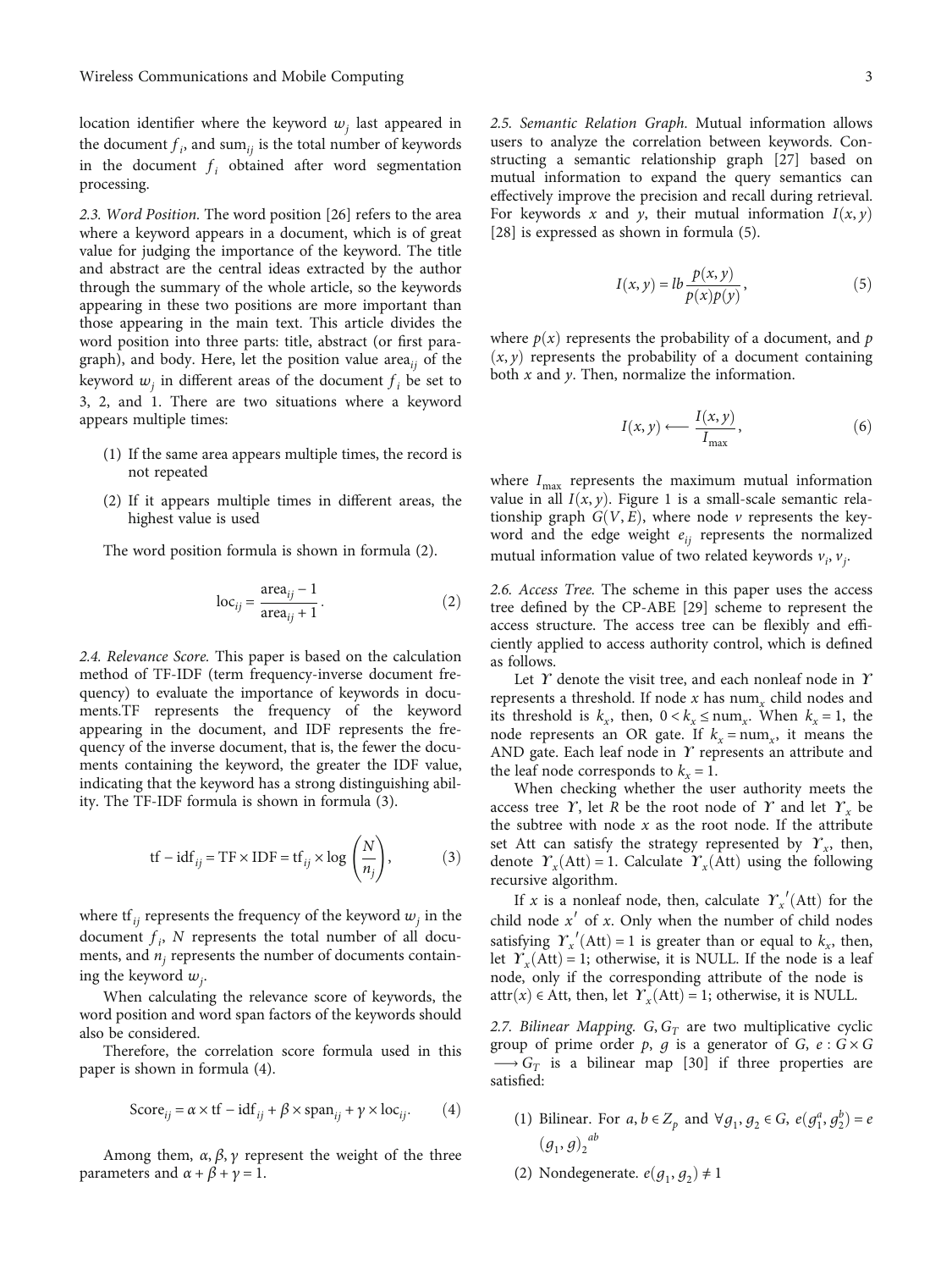<span id="page-2-0"></span>location identifier where the keyword  $w_i$  last appeared in the document  $f_i$ , and sum $_{ij}$  is the total number of keywords in the document  $f_i$  obtained after word segmentation processing.

2.3. Word Position. The word position [[26](#page-8-0)] refers to the area where a keyword appears in a document, which is of great value for judging the importance of the keyword. The title and abstract are the central ideas extracted by the author through the summary of the whole article, so the keywords appearing in these two positions are more important than those appearing in the main text. This article divides the word position into three parts: title, abstract (or first paragraph), and body. Here, let the position value area*ij* of the keyword  $w_i$  in different areas of the document  $f_i$  be set to 3, 2, and 1. There are two situations where a keyword appears multiple times:

- (1) If the same area appears multiple times, the record is not repeated
- (2) If it appears multiple times in different areas, the highest value is used

The word position formula is shown in formula (2).

$$
\log_{ij} = \frac{\text{area}_{ij} - 1}{\text{area}_{ij} + 1}.
$$
 (2)

2.4. Relevance Score. This paper is based on the calculation method of TF-IDF (term frequency-inverse document frequency) to evaluate the importance of keywords in documents.TF represents the frequency of the keyword appearing in the document, and IDF represents the frequency of the inverse document, that is, the fewer the documents containing the keyword, the greater the IDF value, indicating that the keyword has a strong distinguishing ability. The TF-IDF formula is shown in formula (3).

$$
tf - idf_{ij} = TF \times IDF = tf_{ij} \times \log\left(\frac{N}{n_j}\right),
$$
 (3)

where  $\text{tf}_{ij}$  represents the frequency of the keyword  $w_j$  in the document  $f_i$ ,  $N$  represents the total number of all documents, and  $n_i$  represents the number of documents containing the keyword *wj* .

When calculating the relevance score of keywords, the word position and word span factors of the keywords should also be considered.

Therefore, the correlation score formula used in this paper is shown in formula (4).

$$
\text{Score}_{ij} = \alpha \times \text{tf} - \text{idf}_{ij} + \beta \times \text{span}_{ij} + \gamma \times \text{loc}_{ij}. \tag{4}
$$

Among them,  $\alpha$ ,  $\beta$ ,  $\gamma$  represent the weight of the three parameters and  $\alpha + \beta + \gamma = 1$ .

2.5. Semantic Relation Graph. Mutual information allows users to analyze the correlation between keywords. Constructing a semantic relationship graph [\[27\]](#page-8-0) based on mutual information to expand the query semantics can effectively improve the precision and recall during retrieval. For keywords *x* and *y*, their mutual information  $I(x, y)$ [\[28](#page-8-0)] is expressed as shown in formula (5).

$$
I(x, y) = lb \frac{p(x, y)}{p(x)p(y)},
$$
\n(5)

where  $p(x)$  represents the probability of a document, and  $p$  $(x, y)$  represents the probability of a document containing both *x* and *y*. Then, normalize the information.

$$
I(x, y) \longleftarrow \frac{I(x, y)}{I_{\text{max}}},
$$
 (6)

where  $I_{\text{max}}$  represents the maximum mutual information value in all  $I(x, y)$ . Figure [1](#page-3-0) is a small-scale semantic relationship graph  $G(V, E)$ , where node  $\nu$  represents the keyword and the edge weight  $e_{ii}$  represents the normalized mutual information value of two related keywords  $v_i$ ,  $v_j$ .

2.6. Access Tree. The scheme in this paper uses the access tree defined by the CP-ABE [\[29](#page-8-0)] scheme to represent the access structure. The access tree can be flexibly and efficiently applied to access authority control, which is defined as follows.

Let *ϒ* denote the visit tree, and each nonleaf node in *ϒ* represents a threshold. If node *x* has num*<sup>x</sup>* child nodes and its threshold is  $k_x$ , then,  $0 < k_x \leq \text{num}_x$ . When  $k_x = 1$ , the node represents an OR gate. If  $k_x = num_x$ , it means the AND gate. Each leaf node in *ϒ* represents an attribute and the leaf node corresponds to  $k_x = 1$ .

When checking whether the user authority meets the access tree *Y*, let *R* be the root node of *Y* and let  $Y<sub>x</sub>$  be the subtree with node  $x$  as the root node. If the attribute set Att can satisfy the strategy represented by *ϒx*, then, denote  $\Upsilon_x(\text{Att}) = 1$ . Calculate  $\Upsilon_x(\text{Att})$  using the following recursive algorithm.

If *x* is a nonleaf node, then, calculate  $\gamma$ <sup>'</sup><sub>*x*</sub>'(Att) for the child node *x*′ of *x*. Only when the number of child nodes satisfying  $\Upsilon_{x}'(Att) = 1$  is greater than or equal to  $k_{x}$ , then, let  $\Upsilon<sub>x</sub>(Att) = 1$ ; otherwise, it is NULL. If the node is a leaf node, only if the corresponding attribute of the node is attr $(x) \in$  Att, then, let  $\Upsilon<sub>x</sub>(Att) = 1$ ; otherwise, it is NULL.

2.7. Bilinear Mapping.  $G, G<sub>T</sub>$  are two multiplicative cyclic group of prime order  $p$ ,  $q$  is a generator of  $G$ ,  $e: G \times G$  $\rightarrow G_T$  is a bilinear map [[30](#page-9-0)] if three properties are satisfied:

- (1) Bilinear. For *a*,  $b \in Z_p$  and  $\forall g_1, g_2 \in G$ ,  $e(g_1^a, g_2^b) = e$  $(g_1, g)_2^{ab}$
- (2) Nondegenerate.  $e(g_1, g_2) \neq 1$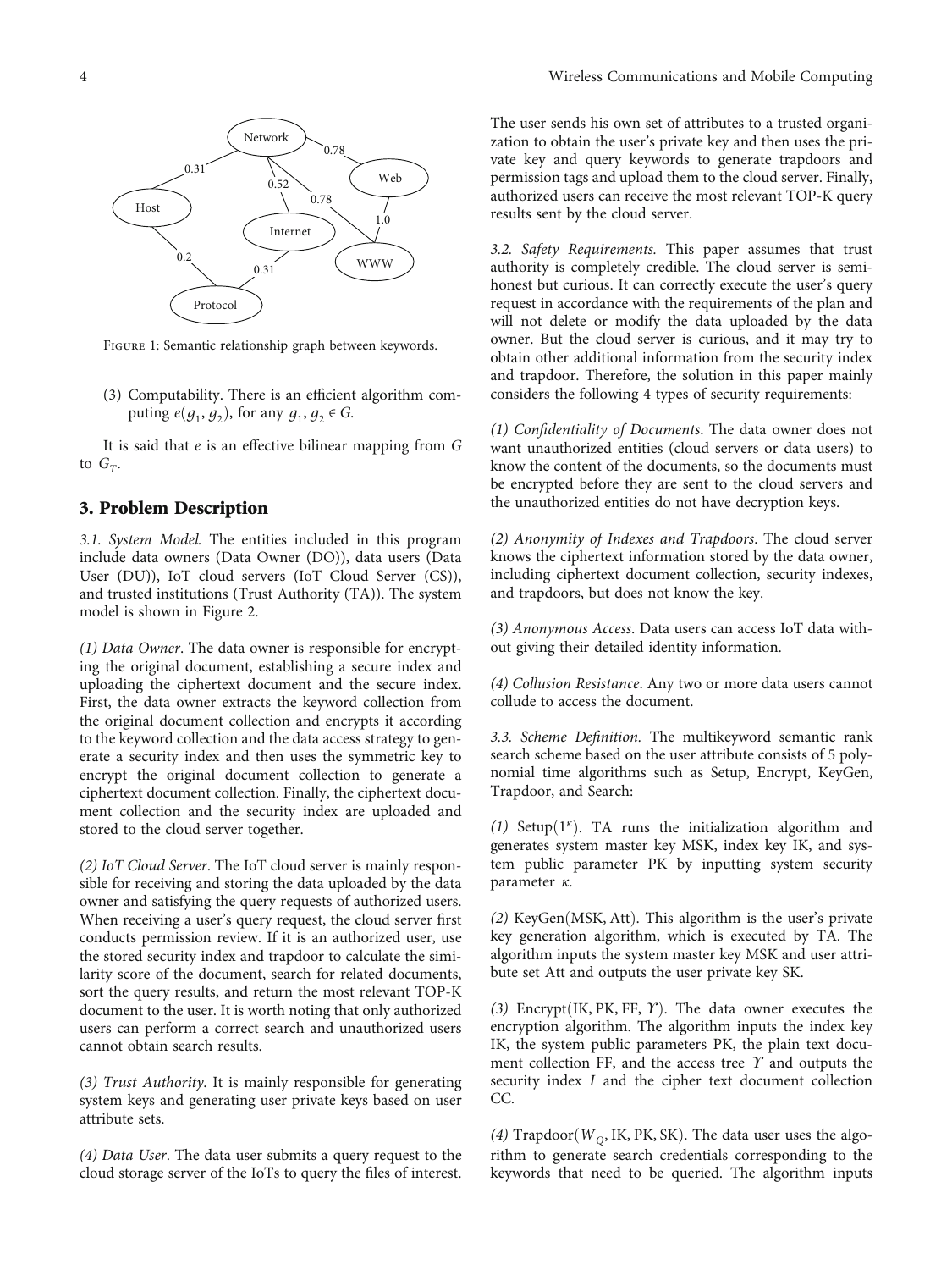<span id="page-3-0"></span>

Figure 1: Semantic relationship graph between keywords.

(3) Computability. There is an efficient algorithm computing  $e(g_1, g_2)$ , for any  $g_1, g_2 \in G$ .

It is said that *e* is an effective bilinear mapping from *G* to  $G_T$ .

## 3. Problem Description

3.1. System Model. The entities included in this program include data owners (Data Owner (DO)), data users (Data User (DU)), IoT cloud servers (IoT Cloud Server (CS)), and trusted institutions (Trust Authority (TA)). The system model is shown in Figure [2.](#page-4-0)

(1) Data Owner. The data owner is responsible for encrypting the original document, establishing a secure index and uploading the ciphertext document and the secure index. First, the data owner extracts the keyword collection from the original document collection and encrypts it according to the keyword collection and the data access strategy to generate a security index and then uses the symmetric key to encrypt the original document collection to generate a ciphertext document collection. Finally, the ciphertext document collection and the security index are uploaded and stored to the cloud server together.

(2) IoT Cloud Server. The IoT cloud server is mainly responsible for receiving and storing the data uploaded by the data owner and satisfying the query requests of authorized users. When receiving a user's query request, the cloud server first conducts permission review. If it is an authorized user, use the stored security index and trapdoor to calculate the similarity score of the document, search for related documents, sort the query results, and return the most relevant TOP-K document to the user. It is worth noting that only authorized users can perform a correct search and unauthorized users cannot obtain search results.

(3) Trust Authority. It is mainly responsible for generating system keys and generating user private keys based on user attribute sets.

(4) Data User. The data user submits a query request to the cloud storage server of the IoTs to query the files of interest.

The user sends his own set of attributes to a trusted organization to obtain the user's private key and then uses the private key and query keywords to generate trapdoors and permission tags and upload them to the cloud server. Finally, authorized users can receive the most relevant TOP-K query results sent by the cloud server.

3.2. Safety Requirements. This paper assumes that trust authority is completely credible. The cloud server is semihonest but curious. It can correctly execute the user's query request in accordance with the requirements of the plan and will not delete or modify the data uploaded by the data owner. But the cloud server is curious, and it may try to obtain other additional information from the security index and trapdoor. Therefore, the solution in this paper mainly considers the following 4 types of security requirements:

(1) Confidentiality of Documents. The data owner does not want unauthorized entities (cloud servers or data users) to know the content of the documents, so the documents must be encrypted before they are sent to the cloud servers and the unauthorized entities do not have decryption keys.

(2) Anonymity of Indexes and Trapdoors. The cloud server knows the ciphertext information stored by the data owner, including ciphertext document collection, security indexes, and trapdoors, but does not know the key.

(3) Anonymous Access. Data users can access IoT data without giving their detailed identity information.

(4) Collusion Resistance. Any two or more data users cannot collude to access the document.

3.3. Scheme Definition. The multikeyword semantic rank search scheme based on the user attribute consists of 5 polynomial time algorithms such as Setup, Encrypt, KeyGen, Trapdoor, and Search:

(1) Setup(1<sup>*κ*</sup>). TA runs the initialization algorithm and generates system master key MSK, index key IK, and system public parameter PK by inputting system security parameter *κ*.

(2) KeyGen(MSK, Att). This algorithm is the user's private key generation algorithm, which is executed by TA. The algorithm inputs the system master key MSK and user attribute set Att and outputs the user private key SK.

(3) Encrypt(IK, PK, FF, *Υ*). The data owner executes the encryption algorithm. The algorithm inputs the index key IK, the system public parameters PK, the plain text document collection FF, and the access tree *ϒ* and outputs the security index *I* and the cipher text document collection CC.

(4) Trapdoor( $W<sub>O</sub>$ , IK, PK, SK). The data user uses the algorithm to generate search credentials corresponding to the keywords that need to be queried. The algorithm inputs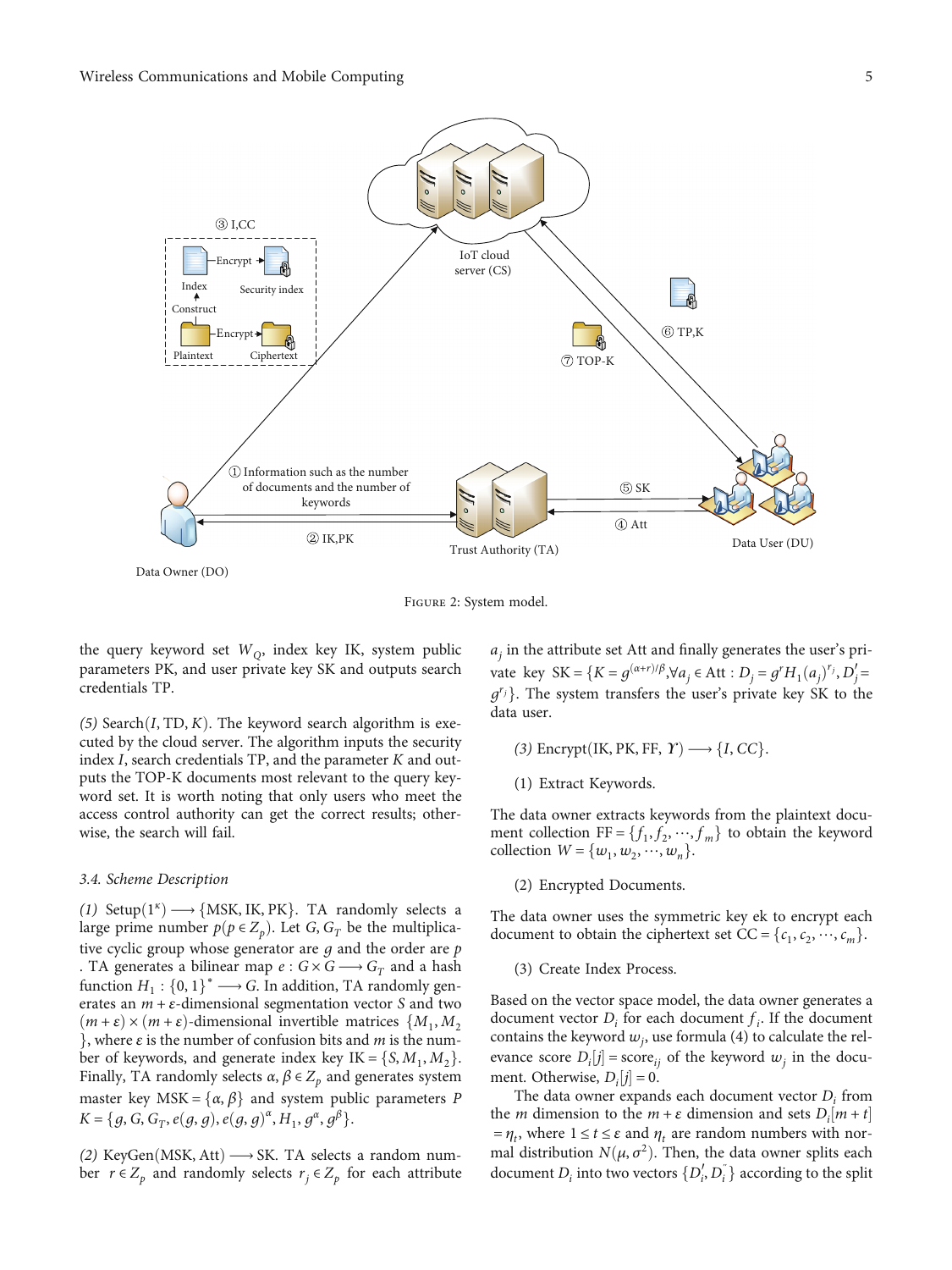<span id="page-4-0"></span>

Figure 2: System model.

the query keyword set  $W<sub>O</sub>$ , index key IK, system public parameters PK, and user private key SK and outputs search credentials TP.

(5) Search $(I, TD, K)$ . The keyword search algorithm is executed by the cloud server. The algorithm inputs the security index *I*, search credentials TP, and the parameter *K* and outputs the TOP-K documents most relevant to the query keyword set. It is worth noting that only users who meet the access control authority can get the correct results; otherwise, the search will fail.

#### 3.4. Scheme Description

(1) Setup $(1^{\kappa}) \longrightarrow \{MSK, IK, PK\}$ . TA randomly selects a large prime number  $p(p \in Z_p)$ . Let *G*,  $G_T$  be the multiplicative cyclic group whose generator are *g* and the order are *p* . TA generates a bilinear map  $e: G \times G \longrightarrow G_T$  and a hash function  $H_1$ : {0, 1}<sup>\*</sup> → G. In addition, TA randomly generates an *m* + *ε*-dimensional segmentation vector *S* and two  $(m + \varepsilon) \times (m + \varepsilon)$ -dimensional invertible matrices  $\{M_1, M_2, \ldots, M_m\}$ g, where *<sup>ε</sup>* is the number of confusion bits and *<sup>m</sup>* is the number of keywords, and generate index key  $IK = \{S, M_1, M_2\}.$ Finally, TA randomly selects  $\alpha$ ,  $\beta \in Z_p$  and generates system master key MSK =  $\{\alpha, \beta\}$  and system public parameters *P*  $K = \{g, G, G_T, e(g, g), e(g, g)^{\alpha}, H_1, g^{\alpha}, g^{\beta}\}.$ 

(2) KeyGen(MSK, Att)  $\longrightarrow$  SK. TA selects a random number  $r \in Z_p$  and randomly selects  $r_j \in Z_p$  for each attribute  $a_j$  in the attribute set Att and finally generates the user's private key SK =  $\{K = g^{(\alpha+r)/\beta}, \forall a_j \in \text{Att} : D_j = g^r H_1(a_j)^{r_j}, D'_j = g^{r_j} H_2(a_j)^{r_j}\}$  $g^{r_j}$ . The system transfers the user's private key SK to the data user.

- $(3)$  Encrypt(IK, PK, FF,  $\Upsilon$ )  $\longrightarrow$  {*I*, *CC*}.
- (1) Extract Keywords.

The data owner extracts keywords from the plaintext document collection  $FF = \{f_1, f_2, \dots, f_m\}$  to obtain the keyword collection  $W = \{w_1, w_2, \dots, w_n\}.$ 

(2) Encrypted Documents.

The data owner uses the symmetric key ek to encrypt each document to obtain the ciphertext set  $CC = \{c_1, c_2, \dots, c_m\}.$ 

(3) Create Index Process.

Based on the vector space model, the data owner generates a document vector  $D_i$  for each document  $f_i$ . If the document contains the keyword  $w_j$ , use formula ([4](#page-2-0)) to calculate the relevance score  $D_i[j]$  = score<sub>ij</sub> of the keyword  $w_j$  in the docu-<br>mont. Otherwise,  $D_i[i] = 0$ ment. Otherwise,  $D_i[j] = 0$ .<br>The data owner expand

The data owner expands each document vector *Di* from the *m* dimension to the  $m + \varepsilon$  dimension and sets  $D_i[m + t]$ <br> $-n$ , where  $1 \le t \le s$  and *n* are random numbers with nor- $= \eta_t$ , where  $1 \le t \le \varepsilon$  and  $\eta_t$  are random numbers with normal distribution  $N(\mu, \sigma^2)$ . Then, the data owner splits each document  $D_i$  into two vectors  $\{D'_i, D''_i\}$  according to the split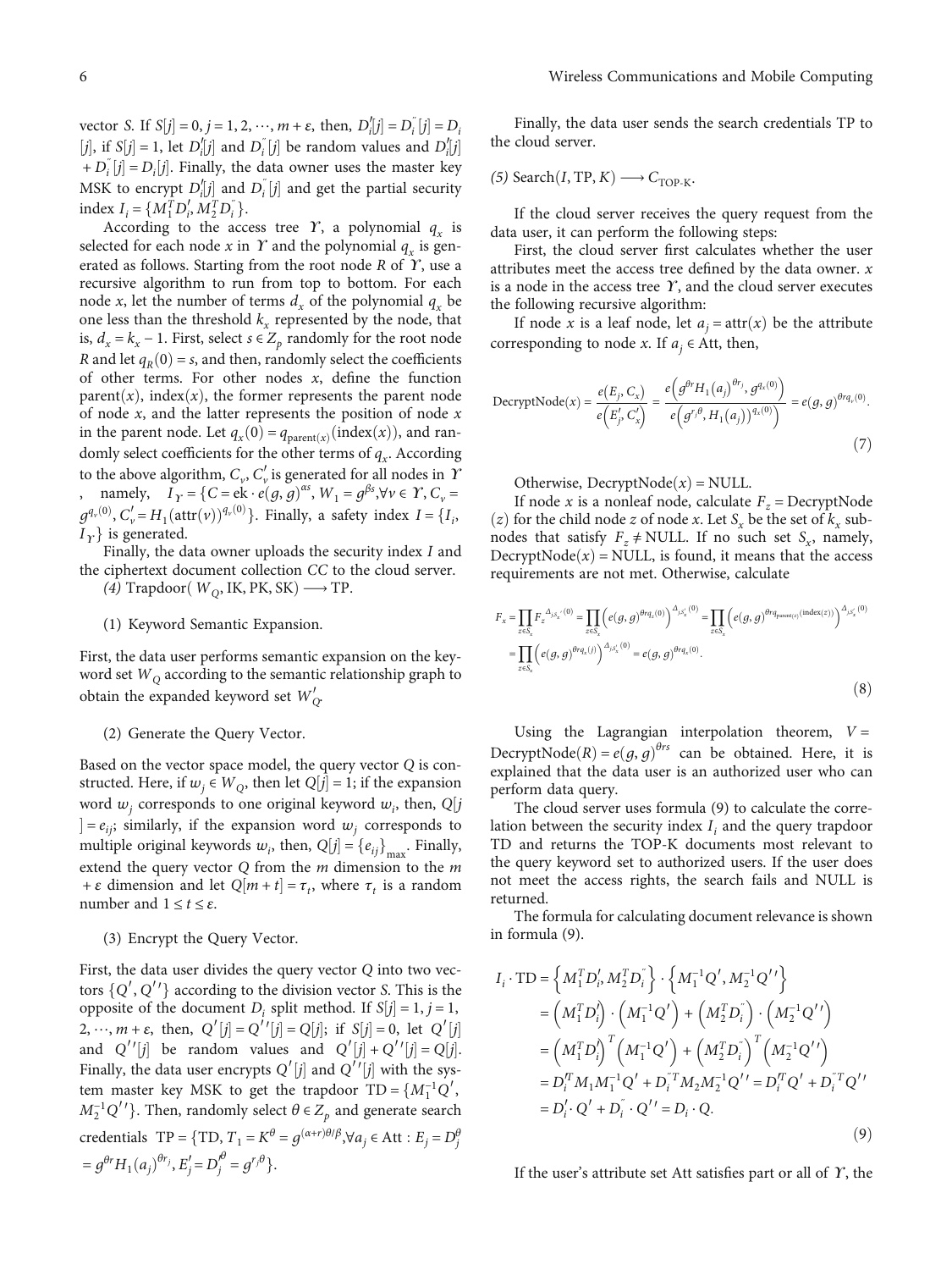<span id="page-5-0"></span>vector *S*. If  $S[j] = 0, j = 1, 2, \dots, m + \varepsilon$ , then,  $D'_{i}[j] = D'_{i}[j] = D'_{i}$ *j*), if *S*[*j*] = 1, let *D'*<sub>*i*</sub>[*j*] and *D*<sup>*i*</sup><sub>*i*</sub><sup>*j*</sup> be random values and *D'*<sub>*i*</sub>[*j*] be *p*<sup>*i*</sup>  $\frac{1}{2}$  $+ D_i^{\dagger} [j] = D_i[j]$ . Finally, the data owner uses the master key MSK to encrypt  $D_i^{\prime}[j]$  and  $D_i^{\prime}[j]$  and get the partial security<br>index  $I = [M^T D' M^T D'']$  $I_i = \{M_1^T D_i^{\prime}, M_2^T D_i^{\prime}\}\$ .<br>According to the acc

According to the access tree *Y*, a polynomial  $q_x$  is selected for each node  $x$  in  $Y$  and the polynomial  $q_x$  is generated as follows. Starting from the root node *R* of *ϒ*, use a recursive algorithm to run from top to bottom. For each node *x*, let the number of terms  $d_x$  of the polynomial  $q_x$  be one less than the threshold  $k_x$  represented by the node, that is,  $d_x = k_x - 1$ . First, select *s* ∈  $Z_p$  randomly for the root node *R* and let  $q_R(0) = s$ , and then, randomly select the coefficients of other terms. For other nodes *x*, define the function parent $(x)$ , index $(x)$ , the former represents the parent node of node *x*, and the latter represents the position of node *x* in the parent node. Let  $q_x(0) = q_{\text{parent}(x)}(\text{index}(x))$ , and randomly select coefficients for the other terms of  $q_x$ . According to the above algorithm,  $C_v$ ,  $C'_v$  is generated for all nodes in *Y* , namely,  $I_Y = \{C = e\mathbf{k} \cdot e^{\prime}(g, g)^{\alpha s}, W_1 = g^{\beta s}, \forall v \in Y, C_v =$  $g^{q_v(0)}$ ,  $C'_v = H_1(\text{attr}(v))^{q_v(0)}$ . Finally, a safety index  $I = \{I_i, I_i\}$  is generated  $I_Y$ } is generated.

Finally, the data owner uploads the security index *I* and the ciphertext document collection *CC* to the cloud server.

(4) Trapdoor( $W<sub>O</sub>$ , IK, PK, SK)  $\longrightarrow$  TP.

#### (1) Keyword Semantic Expansion.

First, the data user performs semantic expansion on the keyword set *WQ* according to the semantic relationship graph to obtain the expanded keyword set  $W'_{Q}$ .

#### (2) Generate the Query Vector.

Based on the vector space model, the query vector *Q* is constructed. Here, if  $w_j \in W_Q$ , then let  $Q[j] = 1$ ; if the expansion<br>word  $w_j$  corresponds to ane original learned  $w_j$ , then  $Q[i]$ word  $w_j$  corresponds to one original keyword  $w_i$ , then,  $Q[j]$ <br> $\downarrow$  –  $\alpha$ , similarly, if the expansion word  $w_j$  corresponds to multiple original keywords  $w_i$ , then,  $Q[j] = {e_{ij}}_{max}$ . Finally,  $] = e_{ij}$ ; similarly, if the expansion word  $w_j$  corresponds to extend the query vector *Q* from the *m* dimension to the *m* + *ε* dimension and let  $Q[m + t] = \tau_t$ , where  $\tau_t$  is a random<br>number and  $1 \le t \le s$ number and  $1 \le t \le \varepsilon$ .

#### (3) Encrypt the Query Vector.

First, the data user divides the query vector *Q* into two vectors  $\{Q', Q''\}$  according to the division vector *S*. This is the opposite of the document *D<sub>i</sub>* split method. If  $S[j] = 1, j = 1$ ,<br>  $S_{ij} = 1$ ,  $S_{ij} = 1$ ,  $S_{ij} = 1$ ,  $S_{ij} = 1$ ,  $S_{ij} = 1$ ,  $S_{ij} = 1$ ,  $S_{ij} = 1$ ,  $S_{ij} = 1$ ,  $S_{ij} = 1$ ,  $S_{ij} = 1$ ,  $S_{ij} = 1$ ,  $S_{ij} = 1$ ,  $S_{ij} = 1$ ,  $S_{ij} = 1$ ,  $S$ 2, …,  $m + \varepsilon$ , then,  $Q'[j] = Q'[j]$ ; if  $S[j] = 0$ , let  $Q'[j]$ <br>and  $Q'[j]$  he random values and  $Q'[j] = Q'[j]$ ;  $Q'[j] = Q[j]$ and  $Q''[j]$  be random values and  $Q'[j] + Q''[j] = Q[j]$ .<br>Finally the data user energote  $Q'[j]$  and  $Q''[j]$  with the sys-Finally, the data user encrypts  $Q'[j]$  and  $Q''[j]$  with the sys-<br>temperature level  $MSK$  to get the transform  $TD = [M^{-1}Q']$ tem master key MSK to get the trapdoor  $TD = \{M_1^{-1}Q', M^{-1}Q'\}$ . Then renderly select  $\theta \in Z$  and concrete search  $M_2^{-1}Q''$ }. Then, randomly select  $\theta \in Z_p$  and generate search credentials  $TP = \{TD, T_1 = K^\theta = g^{(\alpha+r)\theta/\beta}, \forall a_j \in Att : E_j = D_j^\theta\}$  $= g^{\theta r} H_1(a_j)$  $\theta^{r_j}$ ,  $E'_j = D_j^{\theta} = g^{r_j\theta}$ .

Finally, the data user sends the search credentials TP to the cloud server.

 $(5)$  Search $(I, TP, K) \longrightarrow C_{TOP-K}$ .

If the cloud server receives the query request from the data user, it can perform the following steps:

First, the cloud server first calculates whether the user attributes meet the access tree defined by the data owner. *x* is a node in the access tree *ϒ*, and the cloud server executes the following recursive algorithm:

If node *x* is a leaf node, let  $a_i = \text{attr}(x)$  be the attribute corresponding to node *x*. If  $a_i \in$  Att, then,

$$
\text{DecryptNode}(x) = \frac{e(E_j, C_x)}{e\left(E'_j, C'_x\right)} = \frac{e\left(g^{\theta^r}H_1(a_j)^{\theta^r j}, g^{q_x(0)}\right)}{e\left(g^{r_j \theta}, H_1(a_j)\right)^{q_x(0)}} = e(g, g)^{\theta r q_y(0)}.
$$
\n<sup>(7)</sup>

Otherwise, Decrypt $Node(x) = NULL$ .

If node *x* is a nonleaf node, calculate  $F_z =$ DecryptNode  $(z)$  for the child node *z* of node *x*. Let  $S<sub>x</sub>$  be the set of  $k<sub>x</sub>$  subnodes that satisfy  $F_z \neq \text{NULL}$ . If no such set  $S_x$ , namely,  $DecryptNode(x) = NULL$ , is found, it means that the access requirements are not met. Otherwise, calculate

$$
F_x = \prod_{z \in S_x} F_z^{\Delta_{j,S_x}(0)} = \prod_{z \in S_x} \left( e(g, g)^{\theta r q_z(0)} \right)^{\Delta_{j,S_x}(0)} = \prod_{z \in S_x} \left( e(g, g)^{\theta r q_{\text{parent}(z)}(\text{index}(z))} \right)^{\Delta_{j,S_x}(0)}
$$

$$
= \prod_{z \in S_x} \left( e(g, g)^{\theta r q_x(j)} \right)^{\Delta_{j,S_x}(0)} = e(g, g)^{\theta r q_x(0)}.
$$
(8)

Using the Lagrangian interpolation theorem,  $V =$ DecryptNode( $R$ ) =  $e(g, g)$ <sup> $\theta$ rs</sup> can be obtained. Here, it is explained that the data user is an authorized user who can explained that the data user is an authorized user who can perform data query.

The cloud server uses formula (9) to calculate the correlation between the security index *I<sub>i</sub>* and the query trapdoor TD and returns the TOP-K documents most relevant to the query keyword set to authorized users. If the user does not meet the access rights, the search fails and NULL is returned.

The formula for calculating document relevance is shown in formula (9).

$$
I_i \cdot TD = \left\{ M_1^T D_i^{\prime}, M_2^T D_i^{\prime} \right\} \cdot \left\{ M_1^{-1} Q^{\prime}, M_2^{-1} Q^{\prime \prime} \right\}
$$
  
=  $\left( M_1^T D_i^{\prime} \right) \cdot \left( M_1^{-1} Q^{\prime} \right) + \left( M_2^T D_i^{\prime} \right) \cdot \left( M_2^{-1} Q^{\prime \prime} \right)$   
=  $\left( M_1^T D_i^{\prime} \right)^T \left( M_1^{-1} Q^{\prime} \right) + \left( M_2^T D_i^{\prime} \right)^T \left( M_2^{-1} Q^{\prime \prime} \right)$   
=  $D_i^T M_1 M_1^{-1} Q^{\prime} + D_i^{\prime T} M_2 M_2^{-1} Q^{\prime \prime} = D_i^T Q^{\prime} + D_i^{\prime T} Q^{\prime \prime}$   
=  $D_i^{\prime} \cdot Q^{\prime} + D_i^{\prime} \cdot Q^{\prime \prime} = D_i \cdot Q.$  (9)

If the user's attribute set Att satisfies part or all of *ϒ*, the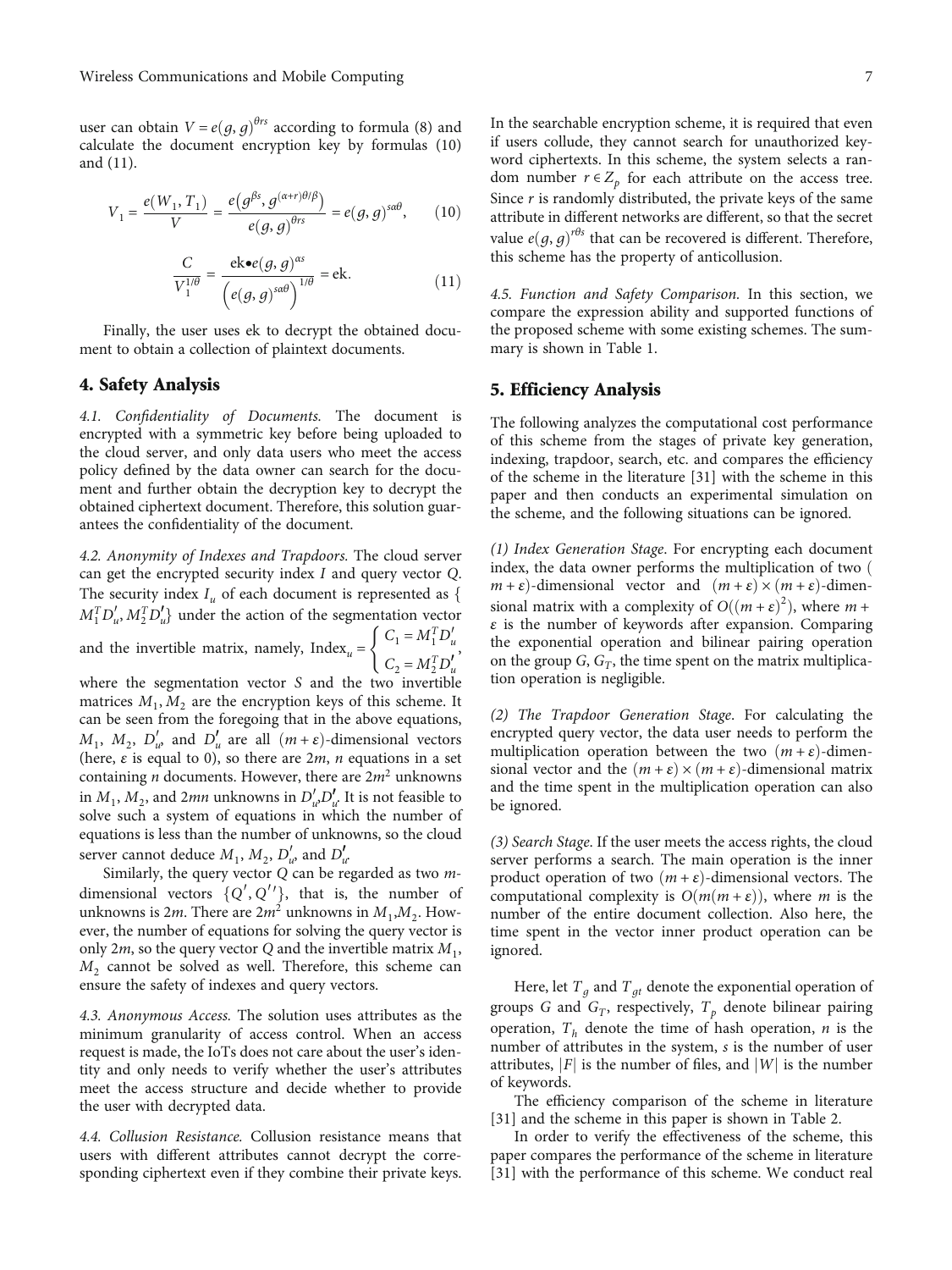user can obtain  $V = e(g, g)^{\theta rs}$  according to formula ([8](#page-5-0)) and calculate the document encryption key by formulas (10) calculate the document encryption key by formulas (10) and (11).

$$
V_1 = \frac{e(W_1, T_1)}{V} = \frac{e(g^{\beta s}, g^{(\alpha+r)\theta/\beta})}{e(g, g)^{\theta rs}} = e(g, g)^{s\alpha\theta}, \quad (10)
$$

$$
\frac{C}{V_1^{1/\theta}} = \frac{\text{ek} \bullet e(g, g)^{\alpha s}}{\left(e(g, g)^{\alpha \theta}\right)^{1/\theta}} = \text{ek.}
$$
\n(11)

Finally, the user uses ek to decrypt the obtained document to obtain a collection of plaintext documents.

#### 4. Safety Analysis

4.1. Confidentiality of Documents. The document is encrypted with a symmetric key before being uploaded to the cloud server, and only data users who meet the access policy defined by the data owner can search for the document and further obtain the decryption key to decrypt the obtained ciphertext document. Therefore, this solution guarantees the confidentiality of the document.

4.2. Anonymity of Indexes and Trapdoors. The cloud server can get the encrypted security index *I* and query vector *Q*. The security index  $I_u$  of each document is represented as  $\{$  $M_1^T D'_u, M_2^T D'_u$  under the action of the segmentation vector<br> $(C - M_1^T D'_u)$ and the invertible matrix, namely,  $Index_u = \begin{cases} C_1 = M_1^T D_u' \\ C_2 = M_2^T D_u' \end{cases}$  $C_2 = M_2^T D'_u$  $\sqrt{ }$ ,

where the segmentation vector *S* and the two invertible matrices  $M_1, M_2$  are the encryption keys of this scheme. It can be seen from the foregoing that in the above equations,  $M_1$ ,  $M_2$ ,  $D'_u$  and  $D'_u$  are all  $(m+\varepsilon)$ -dimensional vectors<br>(here s is equal to 0) so there are 2*m n* equations in a set (here, *ε* is equal to 0), so there are 2*m*, *n* equations in a set containing *n* documents. However, there are  $2m^2$  unknowns in  $M_1$ ,  $M_2$ , and 2*mn* unknowns in  $D'_{\mu}D'_{\mu}$  It is not feasible to solve such a system of equations in which the number of equations is less than the number of unknowns, so the cloud server cannot deduce  $M_1$ ,  $M_2$ ,  $D'_u$  and  $D'_u$ 

Similarly, the query vector *Q* can be regarded as two mdimensional vectors  $\{Q', Q''\}$ , that is, the number of unknowns is 2*m*. There are  $2m^2$  unknowns in  $M_1, M_2$ . However, the number of equations for solving the query vector is only 2*m*, so the query vector *Q* and the invertible matrix  $M_1$ ,  $M<sub>2</sub>$  cannot be solved as well. Therefore, this scheme can ensure the safety of indexes and query vectors.

4.3. Anonymous Access. The solution uses attributes as the minimum granularity of access control. When an access request is made, the IoTs does not care about the user's identity and only needs to verify whether the user's attributes meet the access structure and decide whether to provide the user with decrypted data.

4.4. Collusion Resistance. Collusion resistance means that users with different attributes cannot decrypt the corresponding ciphertext even if they combine their private keys.

In the searchable encryption scheme, it is required that even if users collude, they cannot search for unauthorized keyword ciphertexts. In this scheme, the system selects a random number  $r \in Z_p$  for each attribute on the access tree. Since *r* is randomly distributed, the private keys of the same attribute in different networks are different, so that the secret value  $e(g, g)^{r\theta s}$  that can be recovered is different. Therefore, this scheme has the property of anticollusion this scheme has the property of anticollusion.

4.5. Function and Safety Comparison. In this section, we compare the expression ability and supported functions of the proposed scheme with some existing schemes. The summary is shown in Table [1](#page-7-0).

## 5. Efficiency Analysis

The following analyzes the computational cost performance of this scheme from the stages of private key generation, indexing, trapdoor, search, etc. and compares the efficiency of the scheme in the literature [[31](#page-9-0)] with the scheme in this paper and then conducts an experimental simulation on the scheme, and the following situations can be ignored.

(1) Index Generation Stage. For encrypting each document index, the data owner performs the multiplication of two  $($  $m + \varepsilon$ }-dimensional vector and  $(m + \varepsilon) \times (m + \varepsilon)$ -dimens is the number of keywords after expansion. Comparing *ε* is the number of keywords after expansion. Comparing the exponential operation and bilinear pairing operation on the group  $G$ ,  $G_T$ , the time spent on the matrix multiplication operation is negligible.

(2) The Trapdoor Generation Stage. For calculating the encrypted query vector, the data user needs to perform the multiplication operation between the two  $(m + \varepsilon)$ -dimensional vector and the  $(m + \varepsilon) \times (m + \varepsilon)$ -dimensional matrix and the time spent in the multiplication operation can also be ignored.

(3) Search Stage. If the user meets the access rights, the cloud server performs a search. The main operation is the inner product operation of two  $(m + \varepsilon)$ -dimensional vectors. The computational complexity is  $O(m(m + \varepsilon))$ , where *m* is the number of the entire document collection. Also here, the time spent in the vector inner product operation can be ignored.

Here, let  $T<sub>q</sub>$  and  $T<sub>qt</sub>$  denote the exponential operation of groups *G* and  $G_T$ , respectively,  $T_p$  denote bilinear pairing operation,  $T<sub>h</sub>$  denote the time of hash operation, *n* is the number of attributes in the system, *s* is the number of user attributes,  $|F|$  is the number of files, and  $|W|$  is the number of keywords.

The efficiency comparison of the scheme in literature [\[31](#page-9-0)] and the scheme in this paper is shown in Table [2](#page-7-0).

In order to verify the effectiveness of the scheme, this paper compares the performance of the scheme in literature [\[31](#page-9-0)] with the performance of this scheme. We conduct real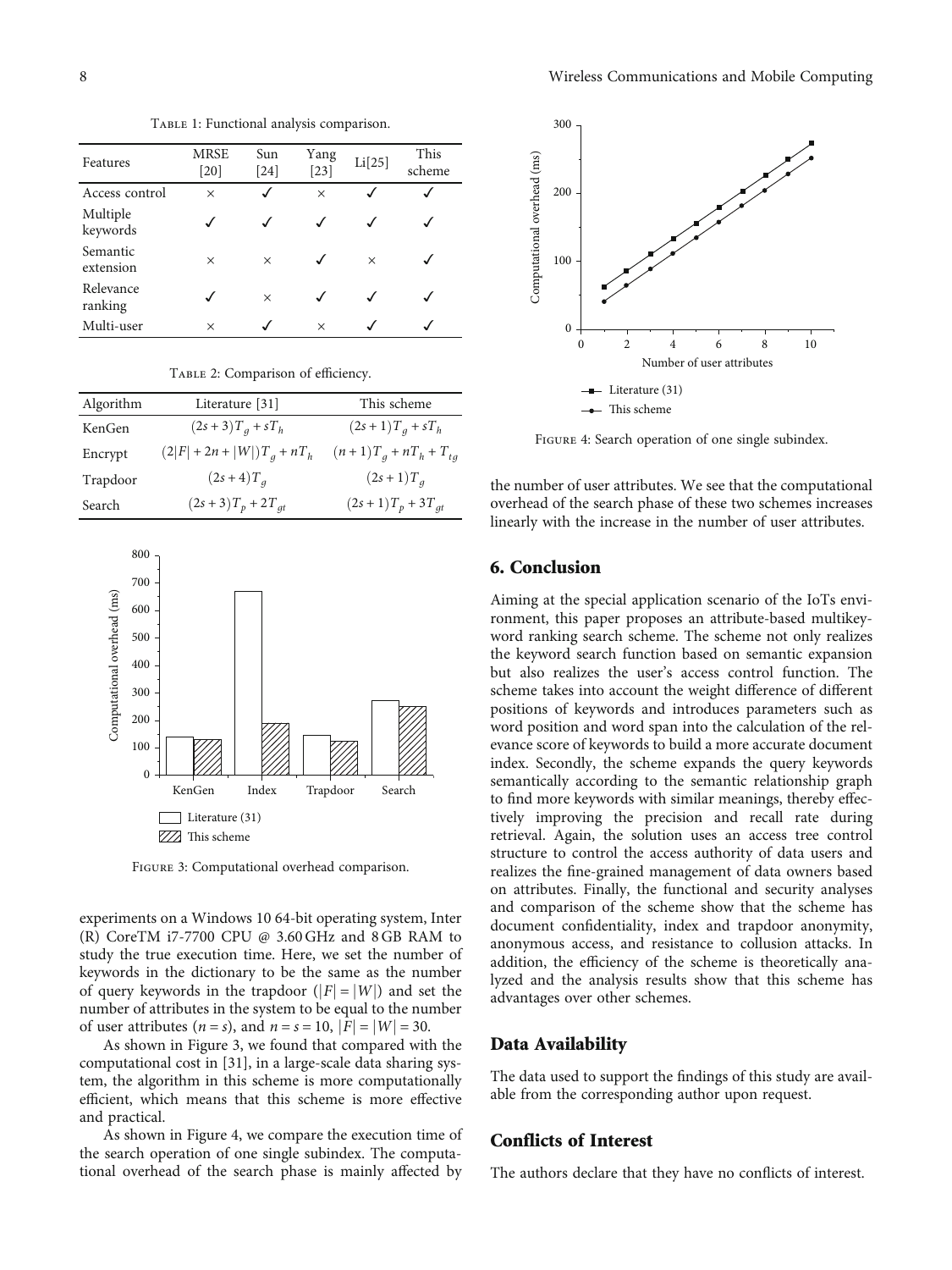TABLE 1: Functional analysis comparison.

<span id="page-7-0"></span>

| Features              | <b>MRSE</b><br>$[20]$ | Sun<br>$[24]$ | Yang<br>$[23]$ | Li[25]   | This<br>scheme |
|-----------------------|-----------------------|---------------|----------------|----------|----------------|
| Access control        | $\times$              | √             | $\times$       |          |                |
| Multiple<br>keywords  |                       | $\checkmark$  |                |          |                |
| Semantic<br>extension | X                     | $\times$      |                | $\times$ |                |
| Relevance<br>ranking  |                       | $\times$      |                |          |                |
| Multi-user            | $\times$              |               | $\times$       |          |                |

| Algorithm | Literature [31]               | This scheme                |
|-----------|-------------------------------|----------------------------|
| KenGen    | $(2s + 3)T_q + sT_h$          | $(2s+1)T_q + sT_h$         |
| Encrypt   | $(2 F  + 2n +  W )T_a + nT_h$ | $(n+1)T_a + nT_h + T_{ta}$ |
| Trapdoor  | $(2s + 4)T_{q}$               | $(2s+1)T_a$                |
| Search    | $(2s + 3)T_p + 2T_{qt}$       | $(2s+1)T_p + 3T_{qt}$      |
|           |                               |                            |

TABLE 2: Comparison of efficiency.



Figure 3: Computational overhead comparison.

experiments on a Windows 10 64-bit operating system, Inter (R) CoreTM i7-7700 CPU @ 3.60 GHz and 8 GB RAM to study the true execution time. Here, we set the number of keywords in the dictionary to be the same as the number of query keywords in the trapdoor  $(|F| = |W|)$  and set the number of attributes in the system to be equal to the number of user attributes (*n* = *s*), and *n* = *s* = 10,  $|F| = |W| = 30$ .

As shown in Figure 3, we found that compared with the computational cost in [\[31](#page-9-0)], in a large-scale data sharing system, the algorithm in this scheme is more computationally efficient, which means that this scheme is more effective and practical.

As shown in Figure 4, we compare the execution time of the search operation of one single subindex. The computational overhead of the search phase is mainly affected by



FIGURE 4: Search operation of one single subindex.

the number of user attributes. We see that the computational overhead of the search phase of these two schemes increases linearly with the increase in the number of user attributes.

## 6. Conclusion

Aiming at the special application scenario of the IoTs environment, this paper proposes an attribute-based multikeyword ranking search scheme. The scheme not only realizes the keyword search function based on semantic expansion but also realizes the user's access control function. The scheme takes into account the weight difference of different positions of keywords and introduces parameters such as word position and word span into the calculation of the relevance score of keywords to build a more accurate document index. Secondly, the scheme expands the query keywords semantically according to the semantic relationship graph to find more keywords with similar meanings, thereby effectively improving the precision and recall rate during retrieval. Again, the solution uses an access tree control structure to control the access authority of data users and realizes the fine-grained management of data owners based on attributes. Finally, the functional and security analyses and comparison of the scheme show that the scheme has document confidentiality, index and trapdoor anonymity, anonymous access, and resistance to collusion attacks. In addition, the efficiency of the scheme is theoretically analyzed and the analysis results show that this scheme has advantages over other schemes.

#### Data Availability

The data used to support the findings of this study are available from the corresponding author upon request.

### Conflicts of Interest

The authors declare that they have no conflicts of interest.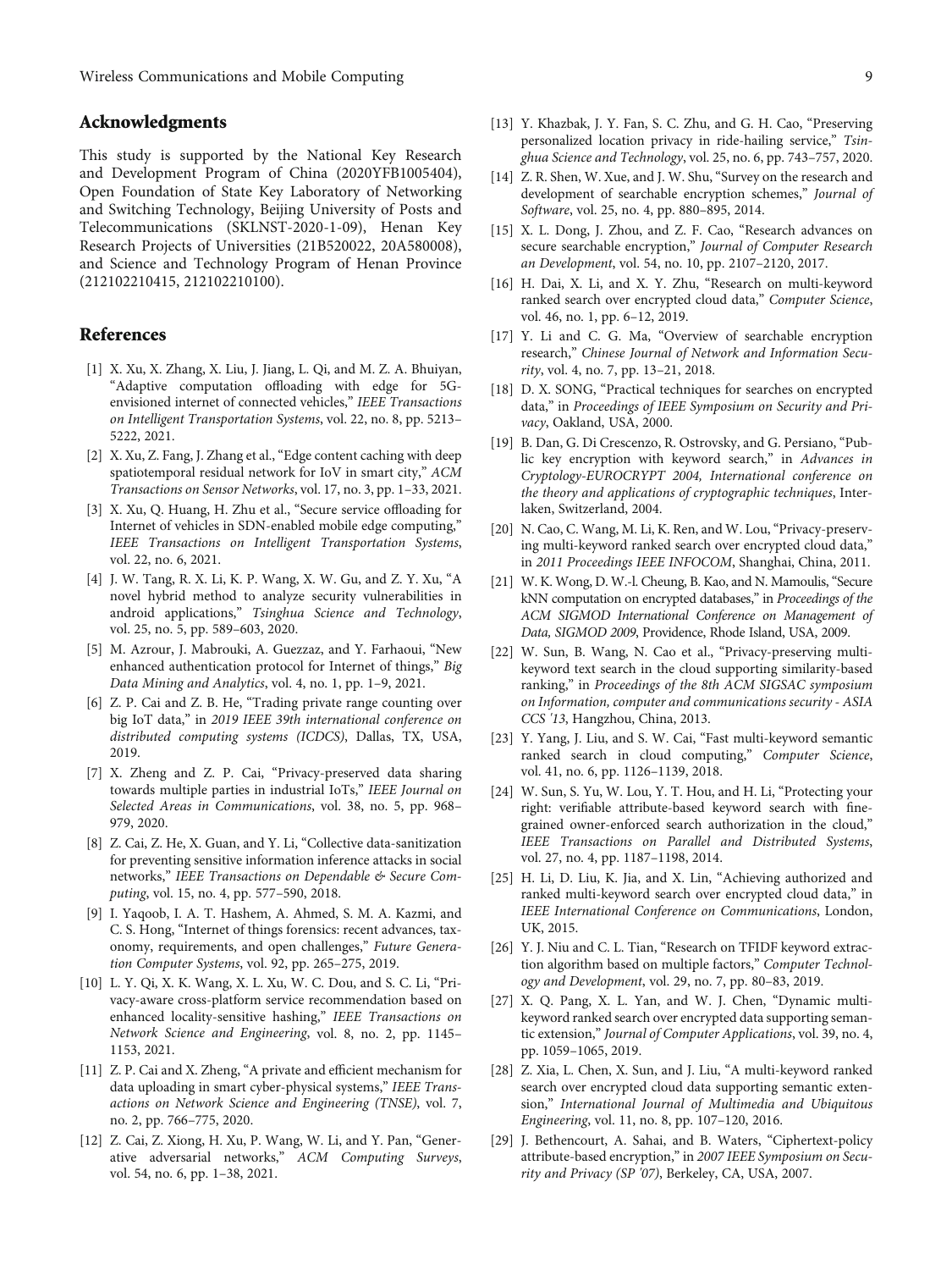## <span id="page-8-0"></span>Acknowledgments

This study is supported by the National Key Research and Development Program of China (2020YFB1005404), Open Foundation of State Key Laboratory of Networking and Switching Technology, Beijing University of Posts and Telecommunications (SKLNST-2020-1-09), Henan Key Research Projects of Universities (21B520022, 20A580008), and Science and Technology Program of Henan Province (212102210415, 212102210100).

## References

- [1] X. Xu, X. Zhang, X. Liu, J. Jiang, L. Qi, and M. Z. A. Bhuiyan, "Adaptive computation offloading with edge for 5Genvisioned internet of connected vehicles," IEEE Transactions on Intelligent Transportation Systems, vol. 22, no. 8, pp. 5213– 5222, 2021.
- [2] X. Xu, Z. Fang, J. Zhang et al., "Edge content caching with deep spatiotemporal residual network for IoV in smart city," ACM Transactions on Sensor Networks, vol. 17, no. 3, pp. 1–33, 2021.
- [3] X. Xu, Q. Huang, H. Zhu et al., "Secure service offloading for Internet of vehicles in SDN-enabled mobile edge computing," IEEE Transactions on Intelligent Transportation Systems, vol. 22, no. 6, 2021.
- [4] J. W. Tang, R. X. Li, K. P. Wang, X. W. Gu, and Z. Y. Xu, "A novel hybrid method to analyze security vulnerabilities in android applications," Tsinghua Science and Technology, vol. 25, no. 5, pp. 589–603, 2020.
- [5] M. Azrour, J. Mabrouki, A. Guezzaz, and Y. Farhaoui, "New enhanced authentication protocol for Internet of things," Big Data Mining and Analytics, vol. 4, no. 1, pp. 1–9, 2021.
- [6] Z. P. Cai and Z. B. He, "Trading private range counting over big IoT data," in 2019 IEEE 39th international conference on distributed computing systems (ICDCS), Dallas, TX, USA, 2019.
- [7] X. Zheng and Z. P. Cai, "Privacy-preserved data sharing towards multiple parties in industrial IoTs," IEEE Journal on Selected Areas in Communications, vol. 38, no. 5, pp. 968– 979, 2020.
- [8] Z. Cai, Z. He, X. Guan, and Y. Li, "Collective data-sanitization for preventing sensitive information inference attacks in social networks," IEEE Transactions on Dependable & Secure Computing, vol. 15, no. 4, pp. 577–590, 2018.
- [9] I. Yaqoob, I. A. T. Hashem, A. Ahmed, S. M. A. Kazmi, and C. S. Hong, "Internet of things forensics: recent advances, taxonomy, requirements, and open challenges," Future Generation Computer Systems, vol. 92, pp. 265–275, 2019.
- [10] L. Y. Qi, X. K. Wang, X. L. Xu, W. C. Dou, and S. C. Li, "Privacy-aware cross-platform service recommendation based on enhanced locality-sensitive hashing," IEEE Transactions on Network Science and Engineering, vol. 8, no. 2, pp. 1145– 1153, 2021.
- [11] Z. P. Cai and X. Zheng, "A private and efficient mechanism for data uploading in smart cyber-physical systems," IEEE Transactions on Network Science and Engineering (TNSE), vol. 7, no. 2, pp. 766–775, 2020.
- [12] Z. Cai, Z. Xiong, H. Xu, P. Wang, W. Li, and Y. Pan, "Generative adversarial networks," ACM Computing Surveys, vol. 54, no. 6, pp. 1–38, 2021.
- [13] Y. Khazbak, J. Y. Fan, S. C. Zhu, and G. H. Cao, "Preserving personalized location privacy in ride-hailing service," Tsin-
- [14] Z. R. Shen, W. Xue, and J. W. Shu, "Survey on the research and development of searchable encryption schemes," Journal of Software, vol. 25, no. 4, pp. 880–895, 2014.

ghua Science and Technology, vol. 25, no. 6, pp. 743–757, 2020.

- [15] X. L. Dong, J. Zhou, and Z. F. Cao, "Research advances on secure searchable encryption," Journal of Computer Research an Development, vol. 54, no. 10, pp. 2107–2120, 2017.
- [16] H. Dai, X. Li, and X. Y. Zhu, "Research on multi-keyword ranked search over encrypted cloud data," Computer Science, vol. 46, no. 1, pp. 6–12, 2019.
- [17] Y. Li and C. G. Ma, "Overview of searchable encryption research," Chinese Journal of Network and Information Security, vol. 4, no. 7, pp. 13–21, 2018.
- [18] D. X. SONG, "Practical techniques for searches on encrypted data," in Proceedings of IEEE Symposium on Security and Privacy, Oakland, USA, 2000.
- [19] B. Dan, G. Di Crescenzo, R. Ostrovsky, and G. Persiano, "Public key encryption with keyword search," in Advances in Cryptology-EUROCRYPT 2004, International conference on the theory and applications of cryptographic techniques, Interlaken, Switzerland, 2004.
- [20] N. Cao, C. Wang, M. Li, K. Ren, and W. Lou, "Privacy-preserving multi-keyword ranked search over encrypted cloud data," in 2011 Proceedings IEEE INFOCOM, Shanghai, China, 2011.
- [21] W. K. Wong, D. W.-l. Cheung, B. Kao, and N. Mamoulis, "Secure kNN computation on encrypted databases," in Proceedings of the ACM SIGMOD International Conference on Management of Data, SIGMOD 2009, Providence, Rhode Island, USA, 2009.
- [22] W. Sun, B. Wang, N. Cao et al., "Privacy-preserving multikeyword text search in the cloud supporting similarity-based ranking," in Proceedings of the 8th ACM SIGSAC symposium on Information, computer and communications security - ASIA CCS '13, Hangzhou, China, 2013.
- [23] Y. Yang, J. Liu, and S. W. Cai, "Fast multi-keyword semantic ranked search in cloud computing," Computer Science, vol. 41, no. 6, pp. 1126–1139, 2018.
- [24] W. Sun, S. Yu, W. Lou, Y. T. Hou, and H. Li, "Protecting your right: verifiable attribute-based keyword search with finegrained owner-enforced search authorization in the cloud," IEEE Transactions on Parallel and Distributed Systems, vol. 27, no. 4, pp. 1187–1198, 2014.
- [25] H. Li, D. Liu, K. Jia, and X. Lin, "Achieving authorized and ranked multi-keyword search over encrypted cloud data," in IEEE International Conference on Communications, London, UK, 2015.
- [26] Y. J. Niu and C. L. Tian, "Research on TFIDF keyword extraction algorithm based on multiple factors," Computer Technology and Development, vol. 29, no. 7, pp. 80–83, 2019.
- [27] X. Q. Pang, X. L. Yan, and W. J. Chen, "Dynamic multikeyword ranked search over encrypted data supporting semantic extension," Journal of Computer Applications, vol. 39, no. 4, pp. 1059–1065, 2019.
- [28] Z. Xia, L. Chen, X. Sun, and J. Liu, "A multi-keyword ranked search over encrypted cloud data supporting semantic extension," International Journal of Multimedia and Ubiquitous Engineering, vol. 11, no. 8, pp. 107–120, 2016.
- [29] J. Bethencourt, A. Sahai, and B. Waters, "Ciphertext-policy attribute-based encryption," in 2007 IEEE Symposium on Security and Privacy (SP '07), Berkeley, CA, USA, 2007.